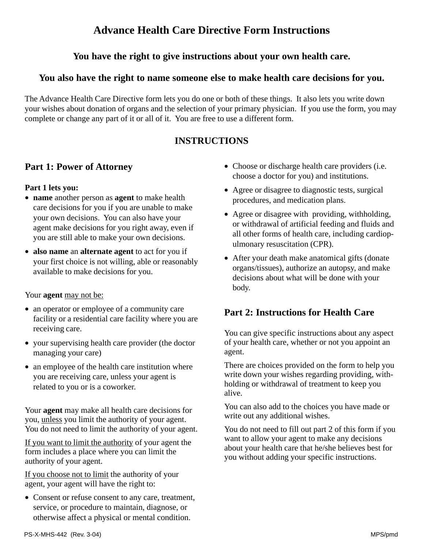## **Advance Health Care Directive Form Instructions**

#### **You have the right to give instructions about your own health care.**

#### **You also have the right to name someone else to make health care decisions for you.**

The Advance Health Care Directive form lets you do one or both of these things. It also lets you write down your wishes about donation of organs and the selection of your primary physician. If you use the form, you may complete or change any part of it or all of it. You are free to use a different form.

## **INSTRUCTIONS**

#### **Part 1: Power of Attorney**

#### **Part 1 lets you:**

- • **name** another person as **agent** to make health care decisions for you if you are unable to make your own decisions. You can also have your agent make decisions for you right away, even if you are still able to make your own decisions.
- • **also name** an **alternate agent** to act for you if your first choice is not willing, able or reasonably available to make decisions for you.

#### Your **agent** may not be:

- an operator or employee of a community care facility or a residential care facility where you are receiving care.
- your supervising health care provider (the doctor managing your care)
- an employee of the health care institution where you are receiving care, unless your agent is related to you or is a coworker.

Your **agent** may make all health care decisions for you, unless you limit the authority of your agent. You do not need to limit the authority of your agent.

If you want to limit the authority of your agent the form includes a place where you can limit the authority of your agent.

If you choose not to limit the authority of your agent, your agent will have the right to:

• Consent or refuse consent to any care, treatment, service, or procedure to maintain, diagnose, or otherwise affect a physical or mental condition.

- Choose or discharge health care providers (i.e. choose a doctor for you) and institutions.
- Agree or disagree to diagnostic tests, surgical procedures, and medication plans.
- Agree or disagree with providing, withholding, or withdrawal of artificial feeding and fluids and all other forms of health care, including cardiopulmonary resuscitation (CPR).
- After your death make anatomical gifts (donate organs/tissues), authorize an autopsy, and make decisions about what will be done with your body.

#### **Part 2: Instructions for Health Care**

You can give specific instructions about any aspect of your health care, whether or not you appoint an agent.

There are choices provided on the form to help you write down your wishes regarding providing, withholding or withdrawal of treatment to keep you alive.

You can also add to the choices you have made or write out any additional wishes.

You do not need to fill out part 2 of this form if you want to allow your agent to make any decisions about your health care that he/she believes best for you without adding your specific instructions.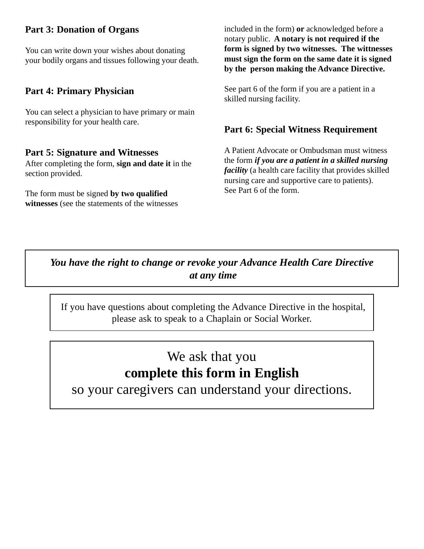#### **Part 3: Donation of Organs**

You can write down your wishes about donating your bodily organs and tissues following your death.

## **Part 4: Primary Physician**

You can select a physician to have primary or main responsibility for your health care.

## **Part 5: Signature and Witnesses**

After completing the form, **sign and date it** in the section provided.

The form must be signed **by two qualified witnesses** (see the statements of the witnesses included in the form) **or** acknowledged before a notary public. **A notary is not required if the form is signed by two witnesses. The wittnesses must sign the form on the same date it is signed by the person making the Advance Directive.** 

See part 6 of the form if you are a patient in a skilled nursing facility.

## **Part 6: Special Witness Requirement**

A Patient Advocate or Ombudsman must witness the form *if you are a patient in a skilled nursing facility* (a health care facility that provides skilled nursing care and supportive care to patients). See Part 6 of the form.

# *You have the right to change or revoke your Advance Health Care Directive at any time*

 If you have questions about completing the Advance Directive in the hospital, please ask to speak to a Chaplain or Social Worker.

# We ask that you **complete this form in English**

so your caregivers can understand your directions.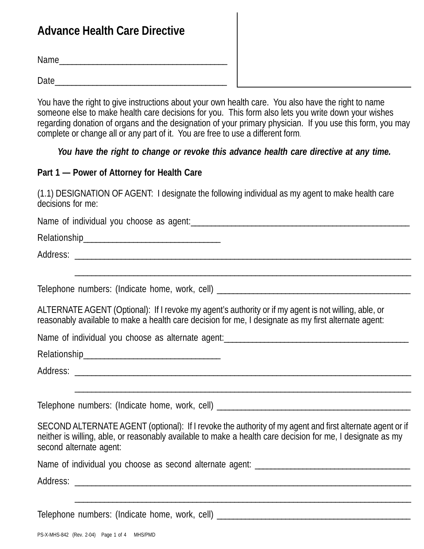# **Advance Health Care Directive**

Name\_\_\_\_\_\_\_\_\_\_\_\_\_\_\_\_\_\_\_\_\_\_\_\_\_\_\_\_\_\_\_\_\_\_\_\_\_\_\_\_

Date  $\Box$ 

You have the right to give instructions about your own health care. You also have the right to name someone else to make health care decisions for you. This form also lets you write down your wishes regarding donation of organs and the designation of your primary physician. If you use this form, you may complete or change all or any part of it. You are free to use a different form.

*You have the right to change or revoke this advance health care directive at any time.* 

#### **Part 1 — Power of Attorney for Health Care**

(1.1) DESIGNATION OF AGENT: I designate the following individual as my agent to make health care decisions for me:

\_\_\_\_\_\_\_\_\_\_\_\_\_\_\_\_\_\_\_\_\_\_\_\_\_\_\_\_\_\_\_\_\_\_\_\_\_\_\_\_\_\_\_\_\_\_\_\_\_\_\_\_\_\_\_\_\_\_\_\_\_\_\_\_\_\_\_\_\_\_\_\_\_\_\_\_\_\_\_\_ \_\_\_\_\_\_\_\_\_\_\_\_\_\_\_\_\_\_\_\_\_\_\_\_\_\_\_\_\_\_\_\_\_\_\_\_\_\_\_\_\_\_\_\_\_\_\_\_\_\_\_\_\_\_\_\_\_\_\_\_\_\_\_\_\_\_\_\_\_\_\_\_\_\_\_\_\_\_\_\_ Name of individual you choose as agent:\_\_\_\_\_\_\_\_\_\_\_\_\_\_\_\_\_\_\_\_\_\_\_\_\_\_\_\_\_\_\_\_\_\_\_\_\_\_\_\_\_\_\_\_\_\_\_\_\_\_\_\_\_\_ Relationship\_\_\_\_\_\_\_\_\_\_\_\_\_\_\_\_\_\_\_\_\_\_\_\_\_\_\_\_\_\_\_\_\_ Address: \_\_\_\_\_\_\_\_\_\_\_\_\_\_\_\_\_\_\_\_\_\_\_\_\_\_\_\_\_\_\_\_\_\_\_\_\_\_\_\_\_\_\_\_\_\_\_\_\_\_\_\_\_\_\_\_\_\_\_\_\_\_\_\_\_\_\_\_\_\_\_\_\_\_\_\_\_\_\_\_ Telephone numbers: (Indicate home, work, cell) \_\_\_\_\_\_\_\_\_\_\_\_\_\_\_\_\_\_\_\_\_\_\_\_\_\_\_\_\_\_\_\_\_ ALTERNATE AGENT (Optional): If I revoke my agent's authority or if my agent is not willing, able, or reasonably available to make a health care decision for me, I designate as my first alternate agent: Name of individual you choose as alternate agent:\_\_\_\_\_\_\_\_\_\_\_\_\_\_\_\_\_\_\_\_\_\_\_\_\_\_\_\_\_\_\_\_\_\_\_\_\_\_\_\_\_\_\_\_\_\_ Relationship Address: Telephone numbers: (Indicate home, work, cell) SECOND ALTERNATE AGENT (optional): If I revoke the authority of my agent and first alternate agent or if neither is willing, able, or reasonably available to make a health care decision for me, I designate as my second alternate agent: Name of individual you choose as second alternate agent: \_\_\_\_\_\_\_\_\_\_\_\_\_\_\_\_\_\_\_\_\_\_\_ Address: \_\_\_\_\_\_\_\_\_\_\_\_\_\_\_\_\_\_\_\_\_\_\_\_\_\_\_\_\_\_\_\_\_\_\_\_\_\_\_\_\_\_\_\_\_\_\_\_\_\_\_\_\_\_\_\_\_\_\_\_\_\_\_\_\_\_\_\_\_\_\_\_\_\_\_\_\_\_\_\_ Telephone numbers: (Indicate home, work, cell) \_\_\_\_\_\_\_\_\_\_\_\_\_\_\_\_\_\_\_\_\_\_\_\_\_\_\_\_\_\_\_\_\_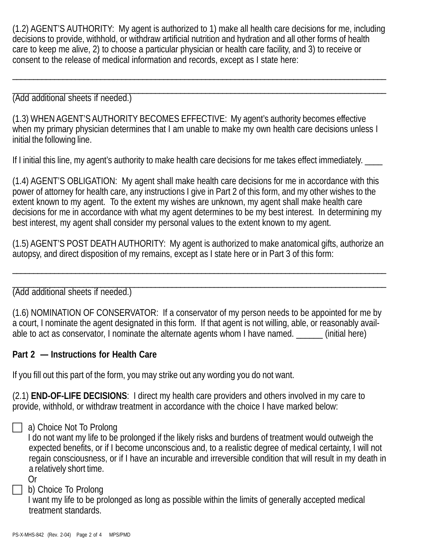(1.2) AGENT'S AUTHORITY: My agent is authorized to 1) make all health care decisions for me, including decisions to provide, withhold, or withdraw artificial nutrition and hydration and all other forms of health care to keep me alive, 2) to choose a particular physician or health care facility, and 3) to receive or consent to the release of medical information and records, except as I state here:

\_\_\_\_\_\_\_\_\_\_\_\_\_\_\_\_\_\_\_\_\_\_\_\_\_\_\_\_\_\_\_\_\_\_\_\_\_\_\_\_\_\_\_\_\_\_\_\_\_\_\_\_\_\_\_\_\_\_\_\_\_\_\_\_\_\_\_\_\_\_\_\_\_\_\_\_\_\_\_\_\_\_\_\_\_\_\_\_\_

\_\_\_\_\_\_\_\_\_\_\_\_\_\_\_\_\_\_\_\_\_\_\_\_\_\_\_\_\_\_\_\_\_\_\_\_\_\_\_\_\_\_\_\_\_\_\_\_\_\_\_\_\_\_\_\_\_\_\_\_\_\_\_\_\_\_\_\_\_\_\_\_\_\_\_\_\_\_\_\_\_\_\_\_\_\_\_\_\_ (Add additional sheets if needed.)

(1.3) WHEN AGENT'S AUTHORITY BECOMES EFFECTIVE: My agent's authority becomes effective when my primary physician determines that I am unable to make my own health care decisions unless I initial the following line.

If I initial this line, my agent's authority to make health care decisions for me takes effect immediately.

(1.4) AGENT'S OBLIGATION: My agent shall make health care decisions for me in accordance with this power of attorney for health care, any instructions I give in Part 2 of this form, and my other wishes to the extent known to my agent. To the extent my wishes are unknown, my agent shall make health care decisions for me in accordance with what my agent determines to be my best interest. In determining my best interest, my agent shall consider my personal values to the extent known to my agent.

(1.5) AGENT'S POST DEATH AUTHORITY: My agent is authorized to make anatomical gifts, authorize an autopsy, and direct disposition of my remains, except as I state here or in Part 3 of this form:

\_\_\_\_\_\_\_\_\_\_\_\_\_\_\_\_\_\_\_\_\_\_\_\_\_\_\_\_\_\_\_\_\_\_\_\_\_\_\_\_\_\_\_\_\_\_\_\_\_\_\_\_\_\_\_\_\_\_\_\_\_\_\_\_\_\_\_\_\_\_\_\_\_\_\_\_\_\_\_\_\_\_\_\_\_\_\_\_\_

\_\_\_\_\_\_\_\_\_\_\_\_\_\_\_\_\_\_\_\_\_\_\_\_\_\_\_\_\_\_\_\_\_\_\_\_\_\_\_\_\_\_\_\_\_\_\_\_\_\_\_\_\_\_\_\_\_\_\_\_\_\_\_\_\_\_\_\_\_\_\_\_\_\_\_\_\_\_\_\_\_\_\_\_\_\_\_\_\_ (Add additional sheets if needed.)

(1.6) NOMINATION OF CONSERVATOR: If a conservator of my person needs to be appointed for me by a court, I nominate the agent designated in this form. If that agent is not willing, able, or reasonably available to act as conservator, I nominate the alternate agents whom I have named. \_\_\_\_\_\_ (initial here)

## **Part 2 — Instructions for Health Care**

If you fill out this part of the form, you may strike out any wording you do not want.

(2.1) **END-OF-LIFE DECISIONS**: I direct my health care providers and others involved in my care to provide, withhold, or withdraw treatment in accordance with the choice I have marked below:

#### a) Choice Not To Prolong

I do not want my life to be prolonged if the likely risks and burdens of treatment would outweigh the expected benefits, or if I become unconscious and, to a realistic degree of medical certainty, I will not regain consciousness, or if I have an incurable and irreversible condition that will result in my death in a relatively short time. Or

#### $\Box$  b) Choice To Prolong

I want my life to be prolonged as long as possible within the limits of generally accepted medical treatment standards.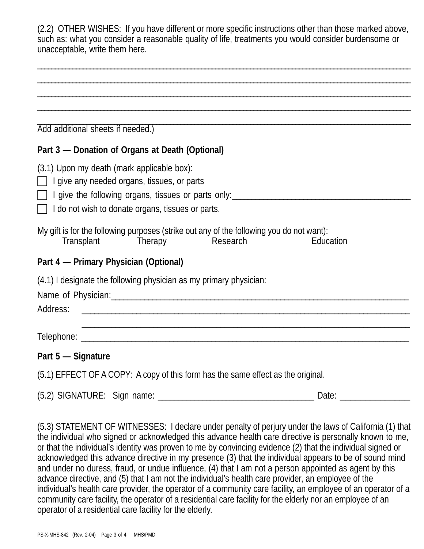(2.2) OTHER WISHES: If you have different or more specific instructions other than those marked above, such as: what you consider a reasonable quality of life, treatments you would consider burdensome or unacceptable, write them here.

\_\_\_\_\_\_\_\_\_\_\_\_\_\_\_\_\_\_\_\_\_\_\_\_\_\_\_\_\_\_\_\_\_\_\_\_\_\_\_\_\_\_\_\_\_\_\_\_\_\_\_\_\_\_\_\_\_\_\_\_\_\_\_\_\_\_\_\_\_\_\_\_\_\_\_\_\_\_\_\_\_\_\_\_\_\_\_\_\_\_\_\_\_\_\_\_\_\_\_\_\_\_\_\_\_\_\_

| Add additional sheets if needed.)                                                                                                                                                                                                                                              |           |
|--------------------------------------------------------------------------------------------------------------------------------------------------------------------------------------------------------------------------------------------------------------------------------|-----------|
| Part 3 – Donation of Organs at Death (Optional)                                                                                                                                                                                                                                |           |
| (3.1) Upon my death (mark applicable box):<br>$\Box$ I give any needed organs, tissues, or parts<br>□ I give the following organs, tissues or parts only:<br>□ I give the following organs, tissues or parts only:<br>$\Box$ I do not wish to donate organs, tissues or parts. |           |
| My gift is for the following purposes (strike out any of the following you do not want):<br>Research<br>Transplant<br>Therapy                                                                                                                                                  | Education |
| Part 4 - Primary Physician (Optional)                                                                                                                                                                                                                                          |           |
| (4.1) I designate the following physician as my primary physician:                                                                                                                                                                                                             |           |
| Address:                                                                                                                                                                                                                                                                       |           |
|                                                                                                                                                                                                                                                                                |           |
| Part 5 - Signature                                                                                                                                                                                                                                                             |           |
| (5.1) EFFECT OF A COPY: A copy of this form has the same effect as the original.                                                                                                                                                                                               |           |
| (5.2) SIGNATURE: Sign name:                                                                                                                                                                                                                                                    | Date:     |

(5.3) STATEMENT OF WITNESSES: I declare under penalty of perjury under the laws of California (1) that the individual who signed or acknowledged this advance health care directive is personally known to me, or that the individual's identity was proven to me by convincing evidence (2) that the individual signed or acknowledged this advance directive in my presence (3) that the individual appears to be of sound mind and under no duress, fraud, or undue influence, (4) that I am not a person appointed as agent by this advance directive, and (5) that I am not the individual's health care provider, an employee of the individual's health care provider, the operator of a community care facility, an employee of an operator of a community care facility, the operator of a residential care facility for the elderly nor an employee of an operator of a residential care facility for the elderly.